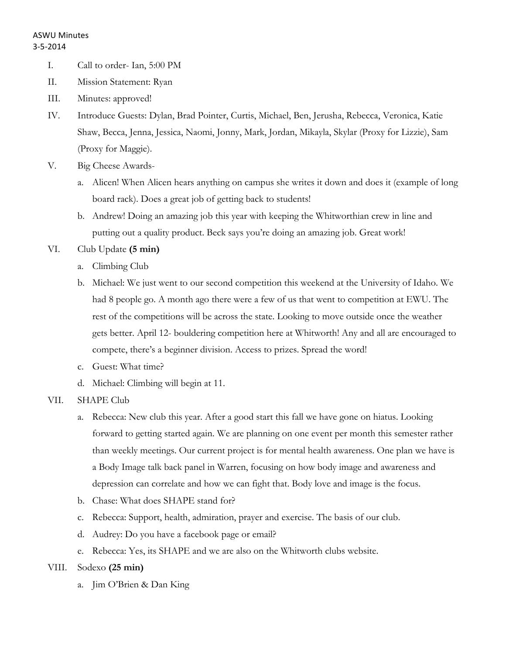- I. Call to order- Ian, 5:00 PM
- II. Mission Statement: Ryan
- III. Minutes: approved!
- IV. Introduce Guests: Dylan, Brad Pointer, Curtis, Michael, Ben, Jerusha, Rebecca, Veronica, Katie Shaw, Becca, Jenna, Jessica, Naomi, Jonny, Mark, Jordan, Mikayla, Skylar (Proxy for Lizzie), Sam (Proxy for Maggie).
- V. Big Cheese Awards
	- a. Alicen! When Alicen hears anything on campus she writes it down and does it (example of long board rack). Does a great job of getting back to students!
	- b. Andrew! Doing an amazing job this year with keeping the Whitworthian crew in line and putting out a quality product. Beck says you're doing an amazing job. Great work!
- VI. Club Update **(5 min)**
	- a. Climbing Club
	- b. Michael: We just went to our second competition this weekend at the University of Idaho. We had 8 people go. A month ago there were a few of us that went to competition at EWU. The rest of the competitions will be across the state. Looking to move outside once the weather gets better. April 12- bouldering competition here at Whitworth! Any and all are encouraged to compete, there's a beginner division. Access to prizes. Spread the word!
	- c. Guest: What time?
	- d. Michael: Climbing will begin at 11.

## VII. SHAPE Club

- a. Rebecca: New club this year. After a good start this fall we have gone on hiatus. Looking forward to getting started again. We are planning on one event per month this semester rather than weekly meetings. Our current project is for mental health awareness. One plan we have is a Body Image talk back panel in Warren, focusing on how body image and awareness and depression can correlate and how we can fight that. Body love and image is the focus.
- b. Chase: What does SHAPE stand for?
- c. Rebecca: Support, health, admiration, prayer and exercise. The basis of our club.
- d. Audrey: Do you have a facebook page or email?
- e. Rebecca: Yes, its SHAPE and we are also on the Whitworth clubs website.

## VIII. Sodexo **(25 min)**

a. Jim O'Brien & Dan King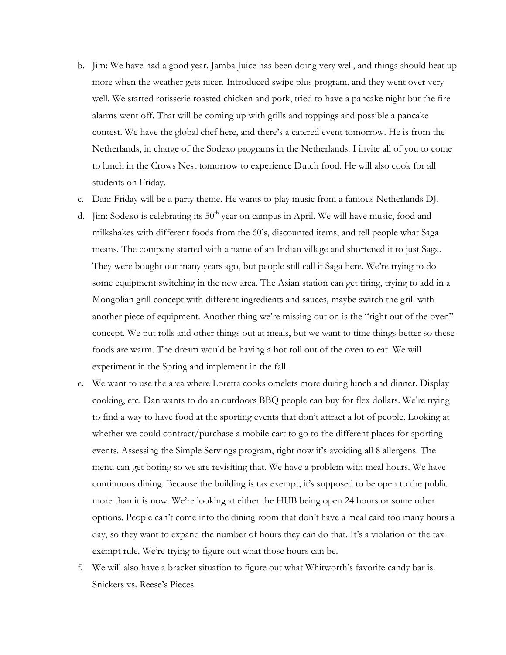- b. Jim: We have had a good year. Jamba Juice has been doing very well, and things should heat up more when the weather gets nicer. Introduced swipe plus program, and they went over very well. We started rotisserie roasted chicken and pork, tried to have a pancake night but the fire alarms went off. That will be coming up with grills and toppings and possible a pancake contest. We have the global chef here, and there's a catered event tomorrow. He is from the Netherlands, in charge of the Sodexo programs in the Netherlands. I invite all of you to come to lunch in the Crows Nest tomorrow to experience Dutch food. He will also cook for all students on Friday.
- c. Dan: Friday will be a party theme. He wants to play music from a famous Netherlands DJ.
- d. Jim: Sodexo is celebrating its  $50<sup>th</sup>$  year on campus in April. We will have music, food and milkshakes with different foods from the 60's, discounted items, and tell people what Saga means. The company started with a name of an Indian village and shortened it to just Saga. They were bought out many years ago, but people still call it Saga here. We're trying to do some equipment switching in the new area. The Asian station can get tiring, trying to add in a Mongolian grill concept with different ingredients and sauces, maybe switch the grill with another piece of equipment. Another thing we're missing out on is the "right out of the oven" concept. We put rolls and other things out at meals, but we want to time things better so these foods are warm. The dream would be having a hot roll out of the oven to eat. We will experiment in the Spring and implement in the fall.
- e. We want to use the area where Loretta cooks omelets more during lunch and dinner. Display cooking, etc. Dan wants to do an outdoors BBQ people can buy for flex dollars. We're trying to find a way to have food at the sporting events that don't attract a lot of people. Looking at whether we could contract/purchase a mobile cart to go to the different places for sporting events. Assessing the Simple Servings program, right now it's avoiding all 8 allergens. The menu can get boring so we are revisiting that. We have a problem with meal hours. We have continuous dining. Because the building is tax exempt, it's supposed to be open to the public more than it is now. We're looking at either the HUB being open 24 hours or some other options. People can't come into the dining room that don't have a meal card too many hours a day, so they want to expand the number of hours they can do that. It's a violation of the taxexempt rule. We're trying to figure out what those hours can be.
- f. We will also have a bracket situation to figure out what Whitworth's favorite candy bar is. Snickers vs. Reese's Pieces.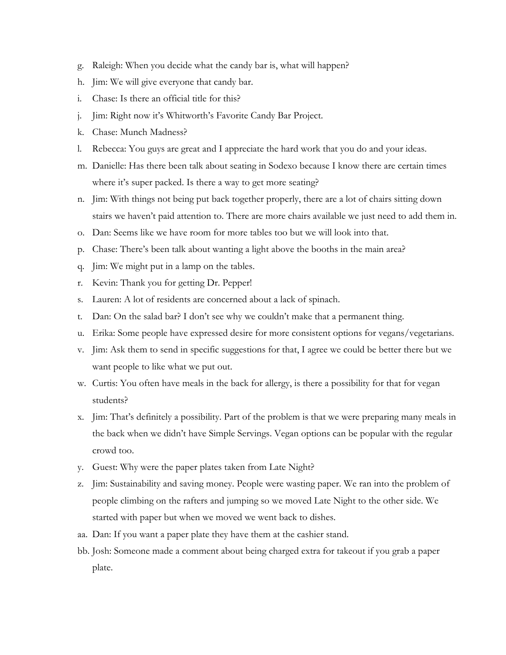- g. Raleigh: When you decide what the candy bar is, what will happen?
- h. Jim: We will give everyone that candy bar.
- i. Chase: Is there an official title for this?
- j. Jim: Right now it's Whitworth's Favorite Candy Bar Project.
- k. Chase: Munch Madness?
- l. Rebecca: You guys are great and I appreciate the hard work that you do and your ideas.
- m. Danielle: Has there been talk about seating in Sodexo because I know there are certain times where it's super packed. Is there a way to get more seating?
- n. Jim: With things not being put back together properly, there are a lot of chairs sitting down stairs we haven't paid attention to. There are more chairs available we just need to add them in.
- o. Dan: Seems like we have room for more tables too but we will look into that.
- p. Chase: There's been talk about wanting a light above the booths in the main area?
- q. Jim: We might put in a lamp on the tables.
- r. Kevin: Thank you for getting Dr. Pepper!
- s. Lauren: A lot of residents are concerned about a lack of spinach.
- t. Dan: On the salad bar? I don't see why we couldn't make that a permanent thing.
- u. Erika: Some people have expressed desire for more consistent options for vegans/vegetarians.
- v. Jim: Ask them to send in specific suggestions for that, I agree we could be better there but we want people to like what we put out.
- w. Curtis: You often have meals in the back for allergy, is there a possibility for that for vegan students?
- x. Jim: That's definitely a possibility. Part of the problem is that we were preparing many meals in the back when we didn't have Simple Servings. Vegan options can be popular with the regular crowd too.
- y. Guest: Why were the paper plates taken from Late Night?
- z. Jim: Sustainability and saving money. People were wasting paper. We ran into the problem of people climbing on the rafters and jumping so we moved Late Night to the other side. We started with paper but when we moved we went back to dishes.
- aa. Dan: If you want a paper plate they have them at the cashier stand.
- bb. Josh: Someone made a comment about being charged extra for takeout if you grab a paper plate.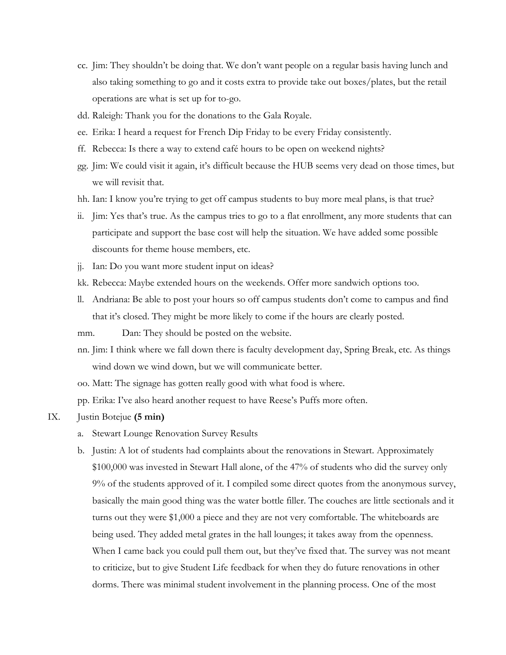- cc. Jim: They shouldn't be doing that. We don't want people on a regular basis having lunch and also taking something to go and it costs extra to provide take out boxes/plates, but the retail operations are what is set up for to-go.
- dd. Raleigh: Thank you for the donations to the Gala Royale.
- ee. Erika: I heard a request for French Dip Friday to be every Friday consistently.
- ff. Rebecca: Is there a way to extend café hours to be open on weekend nights?
- gg. Jim: We could visit it again, it's difficult because the HUB seems very dead on those times, but we will revisit that.
- hh. Ian: I know you're trying to get off campus students to buy more meal plans, is that true?
- ii. Jim: Yes that's true. As the campus tries to go to a flat enrollment, any more students that can participate and support the base cost will help the situation. We have added some possible discounts for theme house members, etc.
- jj. Ian: Do you want more student input on ideas?
- kk. Rebecca: Maybe extended hours on the weekends. Offer more sandwich options too.
- ll. Andriana: Be able to post your hours so off campus students don't come to campus and find that it's closed. They might be more likely to come if the hours are clearly posted.

mm. Dan: They should be posted on the website.

- nn. Jim: I think where we fall down there is faculty development day, Spring Break, etc. As things wind down we wind down, but we will communicate better.
- oo. Matt: The signage has gotten really good with what food is where.

pp. Erika: I've also heard another request to have Reese's Puffs more often.

- IX. Justin Botejue **(5 min)**
	- a. Stewart Lounge Renovation Survey Results
	- b. Justin: A lot of students had complaints about the renovations in Stewart. Approximately \$100,000 was invested in Stewart Hall alone, of the 47% of students who did the survey only 9% of the students approved of it. I compiled some direct quotes from the anonymous survey, basically the main good thing was the water bottle filler. The couches are little sectionals and it turns out they were \$1,000 a piece and they are not very comfortable. The whiteboards are being used. They added metal grates in the hall lounges; it takes away from the openness. When I came back you could pull them out, but they've fixed that. The survey was not meant to criticize, but to give Student Life feedback for when they do future renovations in other dorms. There was minimal student involvement in the planning process. One of the most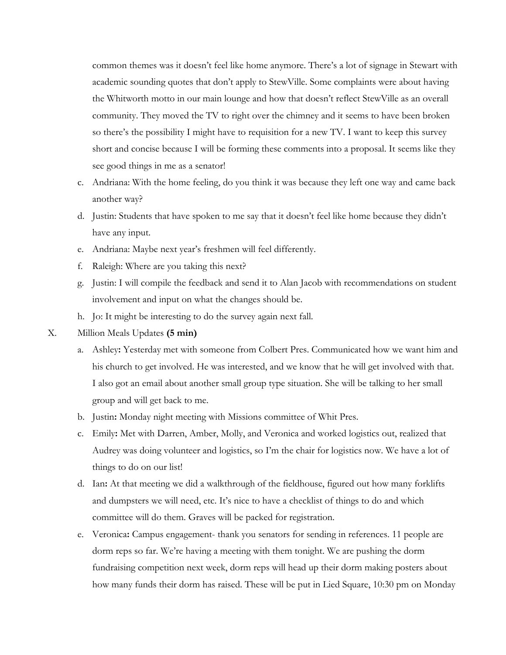common themes was it doesn't feel like home anymore. There's a lot of signage in Stewart with academic sounding quotes that don't apply to StewVille. Some complaints were about having the Whitworth motto in our main lounge and how that doesn't reflect StewVille as an overall community. They moved the TV to right over the chimney and it seems to have been broken so there's the possibility I might have to requisition for a new TV. I want to keep this survey short and concise because I will be forming these comments into a proposal. It seems like they see good things in me as a senator!

- c. Andriana: With the home feeling, do you think it was because they left one way and came back another way?
- d. Justin: Students that have spoken to me say that it doesn't feel like home because they didn't have any input.
- e. Andriana: Maybe next year's freshmen will feel differently.
- f. Raleigh: Where are you taking this next?
- g. Justin: I will compile the feedback and send it to Alan Jacob with recommendations on student involvement and input on what the changes should be.
- h. Jo: It might be interesting to do the survey again next fall.
- X. Million Meals Updates **(5 min)**
	- a. Ashley**:** Yesterday met with someone from Colbert Pres. Communicated how we want him and his church to get involved. He was interested, and we know that he will get involved with that. I also got an email about another small group type situation. She will be talking to her small group and will get back to me.
	- b. Justin**:** Monday night meeting with Missions committee of Whit Pres.
	- c. Emily**:** Met with Darren, Amber, Molly, and Veronica and worked logistics out, realized that Audrey was doing volunteer and logistics, so I'm the chair for logistics now. We have a lot of things to do on our list!
	- d. Ian**:** At that meeting we did a walkthrough of the fieldhouse, figured out how many forklifts and dumpsters we will need, etc. It's nice to have a checklist of things to do and which committee will do them. Graves will be packed for registration.
	- e. Veronica**:** Campus engagement- thank you senators for sending in references. 11 people are dorm reps so far. We're having a meeting with them tonight. We are pushing the dorm fundraising competition next week, dorm reps will head up their dorm making posters about how many funds their dorm has raised. These will be put in Lied Square, 10:30 pm on Monday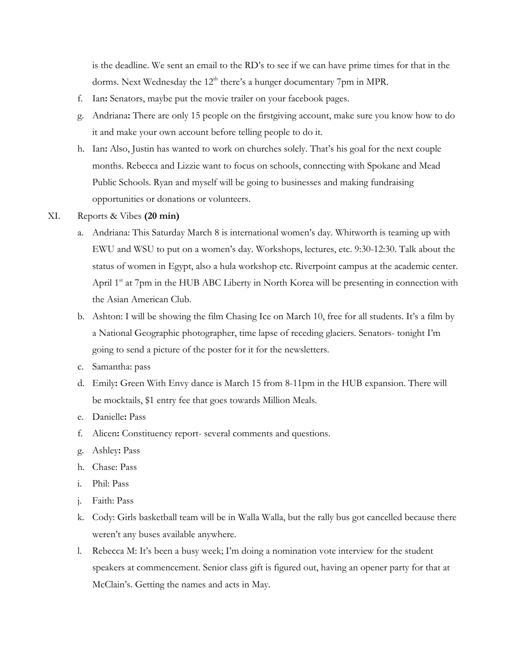is the deadline. We sent an email to the RD's to see if we can have prime times for that in the dorms. Next Wednesday the 12<sup>th</sup> there's a hunger documentary 7pm in MPR.

- f. Ian**:** Senators, maybe put the movie trailer on your facebook pages.
- g. Andriana**:** There are only 15 people on the firstgiving account, make sure you know how to do it and make your own account before telling people to do it.
- h. Ian**:** Also, Justin has wanted to work on churches solely. That's his goal for the next couple months. Rebecca and Lizzie want to focus on schools, connecting with Spokane and Mead Public Schools. Ryan and myself will be going to businesses and making fundraising opportunities or donations or volunteers.

### XI. Reports & Vibes **(20 min)**

- a. Andriana: This Saturday March 8 is international women's day. Whitworth is teaming up with EWU and WSU to put on a women's day. Workshops, lectures, etc. 9:30-12:30. Talk about the status of women in Egypt, also a hula workshop etc. Riverpoint campus at the academic center. April 1<sup>st</sup> at 7pm in the HUB ABC Liberty in North Korea will be presenting in connection with the Asian American Club.
- b. Ashton: I will be showing the film Chasing Ice on March 10, free for all students. It's a film by a National Geographic photographer, time lapse of receding glaciers. Senators- tonight I'm going to send a picture of the poster for it for the newsletters.
- c. Samantha: pass
- d. Emily**:** Green With Envy dance is March 15 from 8-11pm in the HUB expansion. There will be mocktails, \$1 entry fee that goes towards Million Meals.
- e. Danielle**:** Pass
- f. Alicen**:** Constituency report- several comments and questions.
- g. Ashley**:** Pass
- h. Chase: Pass
- i. Phil: Pass
- j. Faith: Pass
- k. Cody: Girls basketball team will be in Walla Walla, but the rally bus got cancelled because there weren't any buses available anywhere.
- l. Rebecca M: It's been a busy week; I'm doing a nomination vote interview for the student speakers at commencement. Senior class gift is figured out, having an opener party for that at McClain's. Getting the names and acts in May.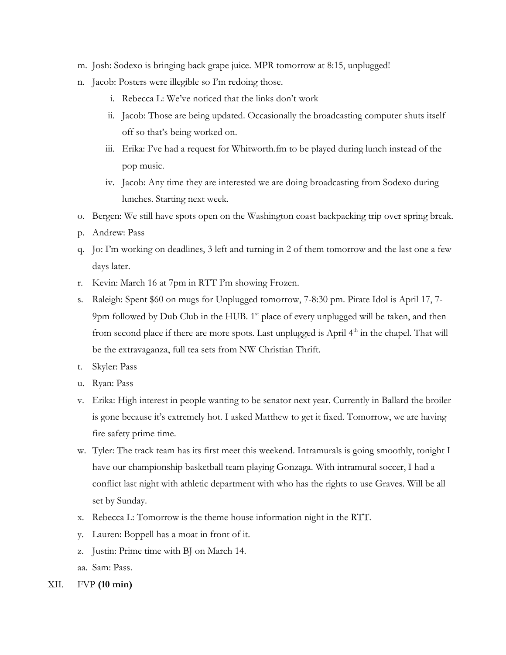- m. Josh: Sodexo is bringing back grape juice. MPR tomorrow at 8:15, unplugged!
- n. Jacob: Posters were illegible so I'm redoing those.
	- i. Rebecca L: We've noticed that the links don't work
	- ii. Jacob: Those are being updated. Occasionally the broadcasting computer shuts itself off so that's being worked on.
	- iii. Erika: I've had a request for Whitworth.fm to be played during lunch instead of the pop music.
	- iv. Jacob: Any time they are interested we are doing broadcasting from Sodexo during lunches. Starting next week.
- o. Bergen: We still have spots open on the Washington coast backpacking trip over spring break.
- p. Andrew: Pass
- q. Jo: I'm working on deadlines, 3 left and turning in 2 of them tomorrow and the last one a few days later.
- r. Kevin: March 16 at 7pm in RTT I'm showing Frozen.
- s. Raleigh: Spent \$60 on mugs for Unplugged tomorrow, 7-8:30 pm. Pirate Idol is April 17, 7- 9pm followed by Dub Club in the HUB. 1<sup>st</sup> place of every unplugged will be taken, and then from second place if there are more spots. Last unplugged is April  $4<sup>th</sup>$  in the chapel. That will be the extravaganza, full tea sets from NW Christian Thrift.
- t. Skyler: Pass
- u. Ryan: Pass
- v. Erika: High interest in people wanting to be senator next year. Currently in Ballard the broiler is gone because it's extremely hot. I asked Matthew to get it fixed. Tomorrow, we are having fire safety prime time.
- w. Tyler: The track team has its first meet this weekend. Intramurals is going smoothly, tonight I have our championship basketball team playing Gonzaga. With intramural soccer, I had a conflict last night with athletic department with who has the rights to use Graves. Will be all set by Sunday.
- x. Rebecca L: Tomorrow is the theme house information night in the RTT.
- y. Lauren: Boppell has a moat in front of it.
- z. Justin: Prime time with BJ on March 14.
- aa. Sam: Pass.
- XII. FVP **(10 min)**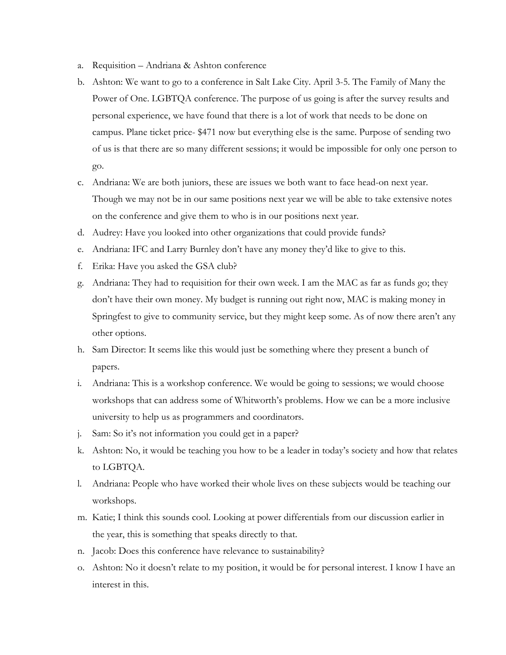- a. Requisition Andriana & Ashton conference
- b. Ashton: We want to go to a conference in Salt Lake City. April 3-5. The Family of Many the Power of One. LGBTQA conference. The purpose of us going is after the survey results and personal experience, we have found that there is a lot of work that needs to be done on campus. Plane ticket price- \$471 now but everything else is the same. Purpose of sending two of us is that there are so many different sessions; it would be impossible for only one person to go.
- c. Andriana: We are both juniors, these are issues we both want to face head-on next year. Though we may not be in our same positions next year we will be able to take extensive notes on the conference and give them to who is in our positions next year.
- d. Audrey: Have you looked into other organizations that could provide funds?
- e. Andriana: IFC and Larry Burnley don't have any money they'd like to give to this.
- f. Erika: Have you asked the GSA club?
- g. Andriana: They had to requisition for their own week. I am the MAC as far as funds go; they don't have their own money. My budget is running out right now, MAC is making money in Springfest to give to community service, but they might keep some. As of now there aren't any other options.
- h. Sam Director: It seems like this would just be something where they present a bunch of papers.
- i. Andriana: This is a workshop conference. We would be going to sessions; we would choose workshops that can address some of Whitworth's problems. How we can be a more inclusive university to help us as programmers and coordinators.
- j. Sam: So it's not information you could get in a paper?
- k. Ashton: No, it would be teaching you how to be a leader in today's society and how that relates to LGBTQA.
- l. Andriana: People who have worked their whole lives on these subjects would be teaching our workshops.
- m. Katie; I think this sounds cool. Looking at power differentials from our discussion earlier in the year, this is something that speaks directly to that.
- n. Jacob: Does this conference have relevance to sustainability?
- o. Ashton: No it doesn't relate to my position, it would be for personal interest. I know I have an interest in this.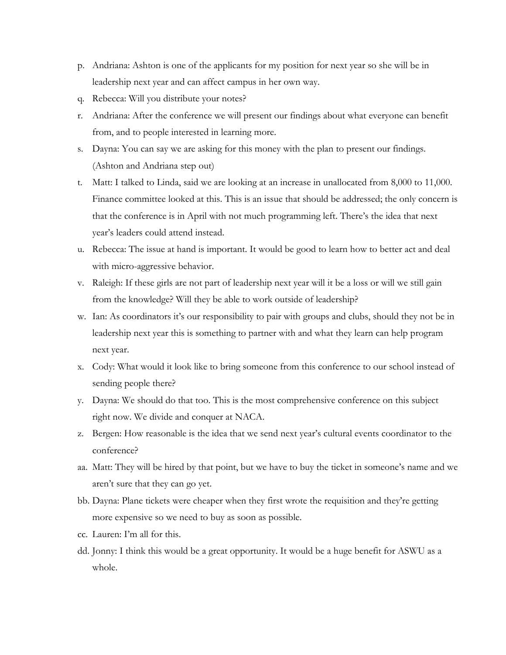- p. Andriana: Ashton is one of the applicants for my position for next year so she will be in leadership next year and can affect campus in her own way.
- q. Rebecca: Will you distribute your notes?
- r. Andriana: After the conference we will present our findings about what everyone can benefit from, and to people interested in learning more.
- s. Dayna: You can say we are asking for this money with the plan to present our findings. (Ashton and Andriana step out)
- t. Matt: I talked to Linda, said we are looking at an increase in unallocated from 8,000 to 11,000. Finance committee looked at this. This is an issue that should be addressed; the only concern is that the conference is in April with not much programming left. There's the idea that next year's leaders could attend instead.
- u. Rebecca: The issue at hand is important. It would be good to learn how to better act and deal with micro-aggressive behavior.
- v. Raleigh: If these girls are not part of leadership next year will it be a loss or will we still gain from the knowledge? Will they be able to work outside of leadership?
- w. Ian: As coordinators it's our responsibility to pair with groups and clubs, should they not be in leadership next year this is something to partner with and what they learn can help program next year.
- x. Cody: What would it look like to bring someone from this conference to our school instead of sending people there?
- y. Dayna: We should do that too. This is the most comprehensive conference on this subject right now. We divide and conquer at NACA.
- z. Bergen: How reasonable is the idea that we send next year's cultural events coordinator to the conference?
- aa. Matt: They will be hired by that point, but we have to buy the ticket in someone's name and we aren't sure that they can go yet.
- bb. Dayna: Plane tickets were cheaper when they first wrote the requisition and they're getting more expensive so we need to buy as soon as possible.
- cc. Lauren: I'm all for this.
- dd. Jonny: I think this would be a great opportunity. It would be a huge benefit for ASWU as a whole.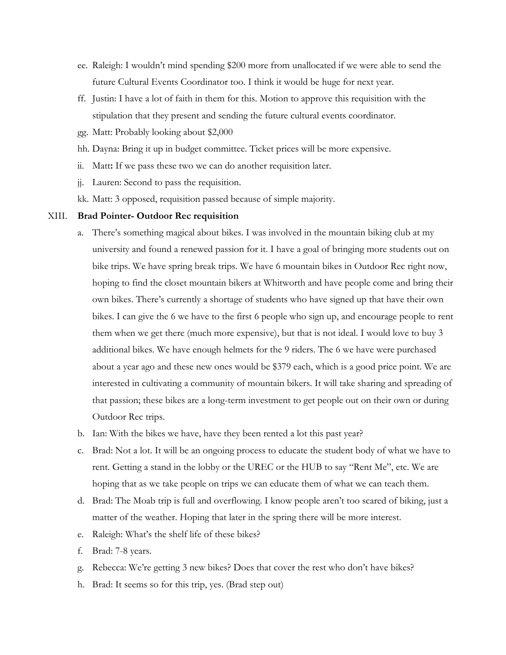- ee. Raleigh: I wouldn't mind spending \$200 more from unallocated if we were able to send the future Cultural Events Coordinator too. I think it would be huge for next year.
- ff. Justin: I have a lot of faith in them for this. Motion to approve this requisition with the stipulation that they present and sending the future cultural events coordinator.
- gg. Matt: Probably looking about \$2,000
- hh. Dayna: Bring it up in budget committee. Ticket prices will be more expensive.
- ii. Matt**:** If we pass these two we can do another requisition later.
- jj. Lauren: Second to pass the requisition.
- kk. Matt: 3 opposed, requisition passed because of simple majority.

#### XIII. **Brad Pointer- Outdoor Rec requisition**

- a. There's something magical about bikes. I was involved in the mountain biking club at my university and found a renewed passion for it. I have a goal of bringing more students out on bike trips. We have spring break trips. We have 6 mountain bikes in Outdoor Rec right now, hoping to find the closet mountain bikers at Whitworth and have people come and bring their own bikes. There's currently a shortage of students who have signed up that have their own bikes. I can give the 6 we have to the first 6 people who sign up, and encourage people to rent them when we get there (much more expensive), but that is not ideal. I would love to buy 3 additional bikes. We have enough helmets for the 9 riders. The 6 we have were purchased about a year ago and these new ones would be \$379 each, which is a good price point. We are interested in cultivating a community of mountain bikers. It will take sharing and spreading of that passion; these bikes are a long-term investment to get people out on their own or during Outdoor Rec trips.
- b. Ian: With the bikes we have, have they been rented a lot this past year?
- c. Brad: Not a lot. It will be an ongoing process to educate the student body of what we have to rent. Getting a stand in the lobby or the UREC or the HUB to say "Rent Me", etc. We are hoping that as we take people on trips we can educate them of what we can teach them.
- d. Brad: The Moab trip is full and overflowing. I know people aren't too scared of biking, just a matter of the weather. Hoping that later in the spring there will be more interest.
- e. Raleigh: What's the shelf life of these bikes?
- f. Brad: 7-8 years.
- g. Rebecca: We're getting 3 new bikes? Does that cover the rest who don't have bikes?
- h. Brad: It seems so for this trip, yes. (Brad step out)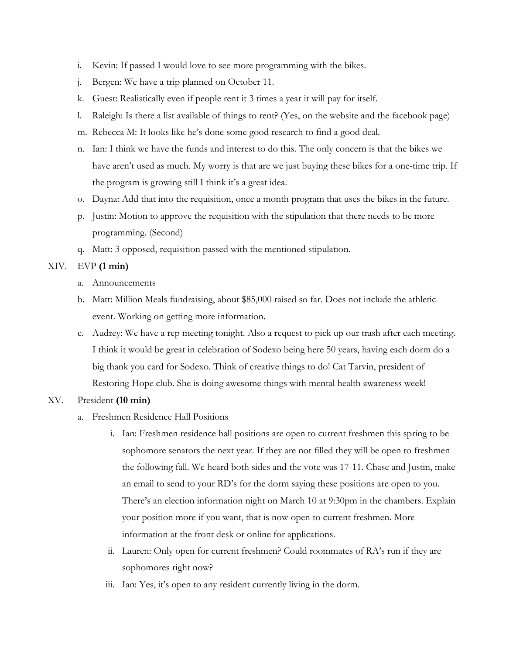- i. Kevin: If passed I would love to see more programming with the bikes.
- j. Bergen: We have a trip planned on October 11.
- k. Guest: Realistically even if people rent it 3 times a year it will pay for itself.
- l. Raleigh: Is there a list available of things to rent? (Yes, on the website and the facebook page)
- m. Rebecca M: It looks like he's done some good research to find a good deal.
- n. Ian: I think we have the funds and interest to do this. The only concern is that the bikes we have aren't used as much. My worry is that are we just buying these bikes for a one-time trip. If the program is growing still I think it's a great idea.
- o. Dayna: Add that into the requisition, once a month program that uses the bikes in the future.
- p. Justin: Motion to approve the requisition with the stipulation that there needs to be more programming. (Second)
- q. Matt: 3 opposed, requisition passed with the mentioned stipulation.

## XIV. EVP **(1 min)**

- a. Announcements
- b. Matt: Million Meals fundraising, about \$85,000 raised so far. Does not include the athletic event. Working on getting more information.
- c. Audrey: We have a rep meeting tonight. Also a request to pick up our trash after each meeting. I think it would be great in celebration of Sodexo being here 50 years, having each dorm do a big thank you card for Sodexo. Think of creative things to do! Cat Tarvin, president of Restoring Hope club. She is doing awesome things with mental health awareness week!

# XV. President **(10 min)**

- a. Freshmen Residence Hall Positions
	- i. Ian: Freshmen residence hall positions are open to current freshmen this spring to be sophomore senators the next year. If they are not filled they will be open to freshmen the following fall. We heard both sides and the vote was 17-11. Chase and Justin, make an email to send to your RD's for the dorm saying these positions are open to you. There's an election information night on March 10 at 9:30pm in the chambers. Explain your position more if you want, that is now open to current freshmen. More information at the front desk or online for applications.
	- ii. Lauren: Only open for current freshmen? Could roommates of RA's run if they are sophomores right now?
	- iii. Ian: Yes, it's open to any resident currently living in the dorm.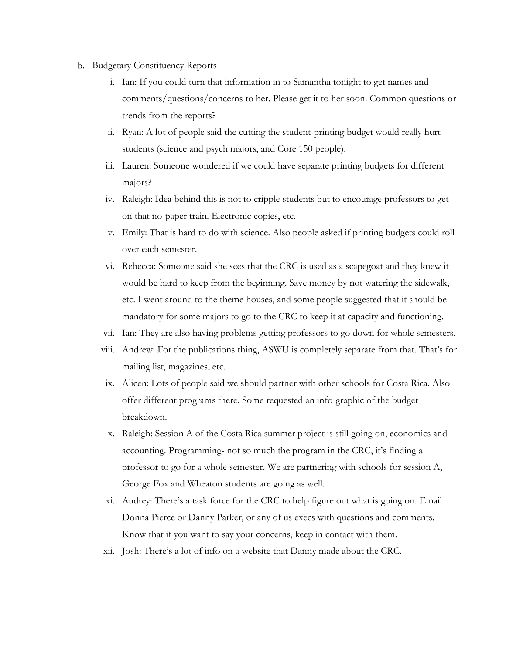- b. Budgetary Constituency Reports
	- i. Ian: If you could turn that information in to Samantha tonight to get names and comments/questions/concerns to her. Please get it to her soon. Common questions or trends from the reports?
	- ii. Ryan: A lot of people said the cutting the student-printing budget would really hurt students (science and psych majors, and Core 150 people).
	- iii. Lauren: Someone wondered if we could have separate printing budgets for different majors?
	- iv. Raleigh: Idea behind this is not to cripple students but to encourage professors to get on that no-paper train. Electronic copies, etc.
	- v. Emily: That is hard to do with science. Also people asked if printing budgets could roll over each semester.
	- vi. Rebecca: Someone said she sees that the CRC is used as a scapegoat and they knew it would be hard to keep from the beginning. Save money by not watering the sidewalk, etc. I went around to the theme houses, and some people suggested that it should be mandatory for some majors to go to the CRC to keep it at capacity and functioning.
	- vii. Ian: They are also having problems getting professors to go down for whole semesters.
	- viii. Andrew: For the publications thing, ASWU is completely separate from that. That's for mailing list, magazines, etc.
	- ix. Alicen: Lots of people said we should partner with other schools for Costa Rica. Also offer different programs there. Some requested an info-graphic of the budget breakdown.
	- x. Raleigh: Session A of the Costa Rica summer project is still going on, economics and accounting. Programming- not so much the program in the CRC, it's finding a professor to go for a whole semester. We are partnering with schools for session A, George Fox and Wheaton students are going as well.
	- xi. Audrey: There's a task force for the CRC to help figure out what is going on. Email Donna Pierce or Danny Parker, or any of us execs with questions and comments. Know that if you want to say your concerns, keep in contact with them.
	- xii. Josh: There's a lot of info on a website that Danny made about the CRC.